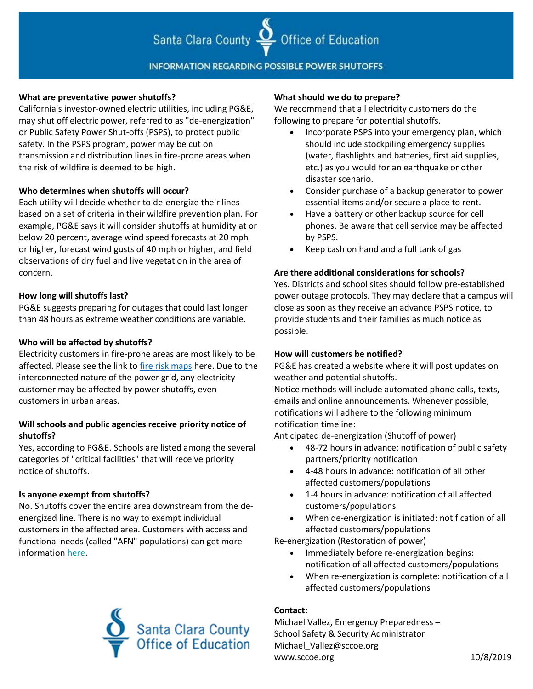# Santa Clara County  $\sum$  Office of Education

## **INFORMATION REGARDING POSSIBLE POWER SHUTOFFS**

#### **What are preventative power shutoffs?**

California's investor-owned electric utilities, including PG&E, may shut off electric power, referred to as "de-energization" or Public Safety Power Shut-offs (PSPS), to protect public safety. In the PSPS program, power may be cut on transmission and distribution lines in fire-prone areas when the risk of wildfire is deemed to be high.

#### **Who determines when shutoffs will occur?**

Each utility will decide whether to de-energize their lines based on a set of criteria in their wildfire prevention plan. For example, PG&E says it will consider shutoffs at humidity at or below 20 percent, average wind speed forecasts at 20 mph or higher, forecast wind gusts of 40 mph or higher, and field observations of dry fuel and live vegetation in the area of concern.

#### **How long will shutoffs last?**

PG&E suggests preparing for outages that could last longer than 48 hours as extreme weather conditions are variable.

#### **Who will be affected by shutoffs?**

Electricity customers in fire-prone areas are most likely to be affected. Please see the link t[o fire risk maps](https://www.cpuc.ca.gov/FireThreatMaps/) here. Due to the interconnected nature of the power grid, any electricity customer may be affected by power shutoffs, even customers in urban areas.

### **Will schools and public agencies receive priority notice of shutoffs?**

Yes, according to PG&E. Schools are listed among the several categories of "critical facilities" that will receive priority notice of shutoffs.

#### **Is anyone exempt from shutoffs?**

No. Shutoffs cover the entire area downstream from the deenergized line. There is no way to exempt individual customers in the affected area. Customers with access and functional needs (called "AFN" populations) can get more information here.



#### **What should we do to prepare?**

We recommend that all electricity customers do the following to prepare for potential shutoffs.

- Incorporate PSPS into your emergency plan, which should include stockpiling emergency supplies (water, flashlights and batteries, first aid supplies, etc.) as you would for an earthquake or other disaster scenario.
- Consider purchase of a backup generator to power essential items and/or secure a place to rent.
- Have a battery or other backup source for cell phones. Be aware that cell service may be affected by PSPS.
- Keep cash on hand and a full tank of gas

#### **Are there additional considerations for schools?**

Yes. Districts and school sites should follow pre-established power outage protocols. They may declare that a campus will close as soon as they receive an advance PSPS notice, to provide students and their families as much notice as possible.

#### **How will customers be notified?**

PG&E has created a website where it will post updates on weather and potential shutoffs.

Notice methods will include automated phone calls, texts, emails and online announcements. Whenever possible, notifications will adhere to the following minimum notification timeline:

Anticipated de-energization (Shutoff of power)

- 48-72 hours in advance: notification of public safety partners/priority notification
- 4-48 hours in advance: notification of all other affected customers/populations
- 1-4 hours in advance: notification of all affected customers/populations
- When de-energization is initiated: notification of all affected customers/populations

Re-energization (Restoration of power)

- Immediately before re-energization begins: notification of all affected customers/populations
- When re-energization is complete: notification of all affected customers/populations

#### **Contact:**

Michael Vallez, Emergency Preparedness – School Safety & Security Administrator Michael\_Vallez@sccoe.org www.sccoe.org 10/8/2019